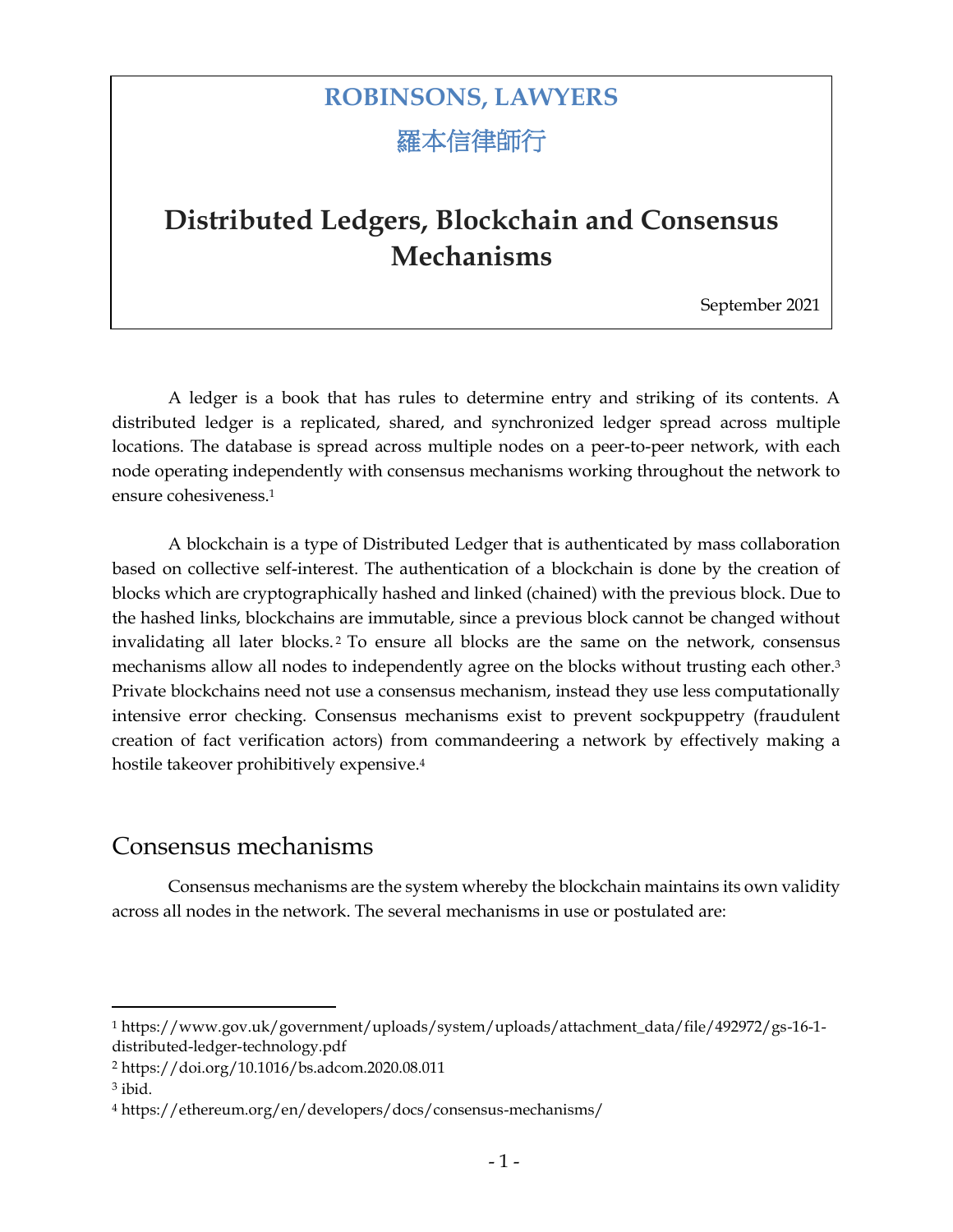# **ROBINSONS, LAWYERS** 羅本信律師行

# **Distributed Ledgers, Blockchain and Consensus Mechanisms**

September 2021

A ledger is a book that has rules to determine entry and striking of its contents. A distributed ledger is a replicated, shared, and synchronized ledger spread across multiple locations. The database is spread across multiple nodes on a peer-to-peer network, with each node operating independently with consensus mechanisms working throughout the network to ensure cohesiveness.<sup>1</sup>

A blockchain is a type of Distributed Ledger that is authenticated by mass collaboration based on collective self-interest. The authentication of a blockchain is done by the creation of blocks which are cryptographically hashed and linked (chained) with the previous block. Due to the hashed links, blockchains are immutable, since a previous block cannot be changed without invalidating all later blocks. <sup>2</sup> To ensure all blocks are the same on the network, consensus mechanisms allow all nodes to independently agree on the blocks without trusting each other.<sup>3</sup> Private blockchains need not use a consensus mechanism, instead they use less computationally intensive error checking. Consensus mechanisms exist to prevent sockpuppetry (fraudulent creation of fact verification actors) from commandeering a network by effectively making a hostile takeover prohibitively expensive.<sup>4</sup>

## Consensus mechanisms

Consensus mechanisms are the system whereby the blockchain maintains its own validity across all nodes in the network. The several mechanisms in use or postulated are:

<sup>1</sup> https://www.gov.uk/government/uploads/system/uploads/attachment\_data/file/492972/gs-16-1 distributed-ledger-technology.pdf

<sup>2</sup> https://doi.org/10.1016/bs.adcom.2020.08.011

<sup>3</sup> ibid.

<sup>4</sup> https://ethereum.org/en/developers/docs/consensus-mechanisms/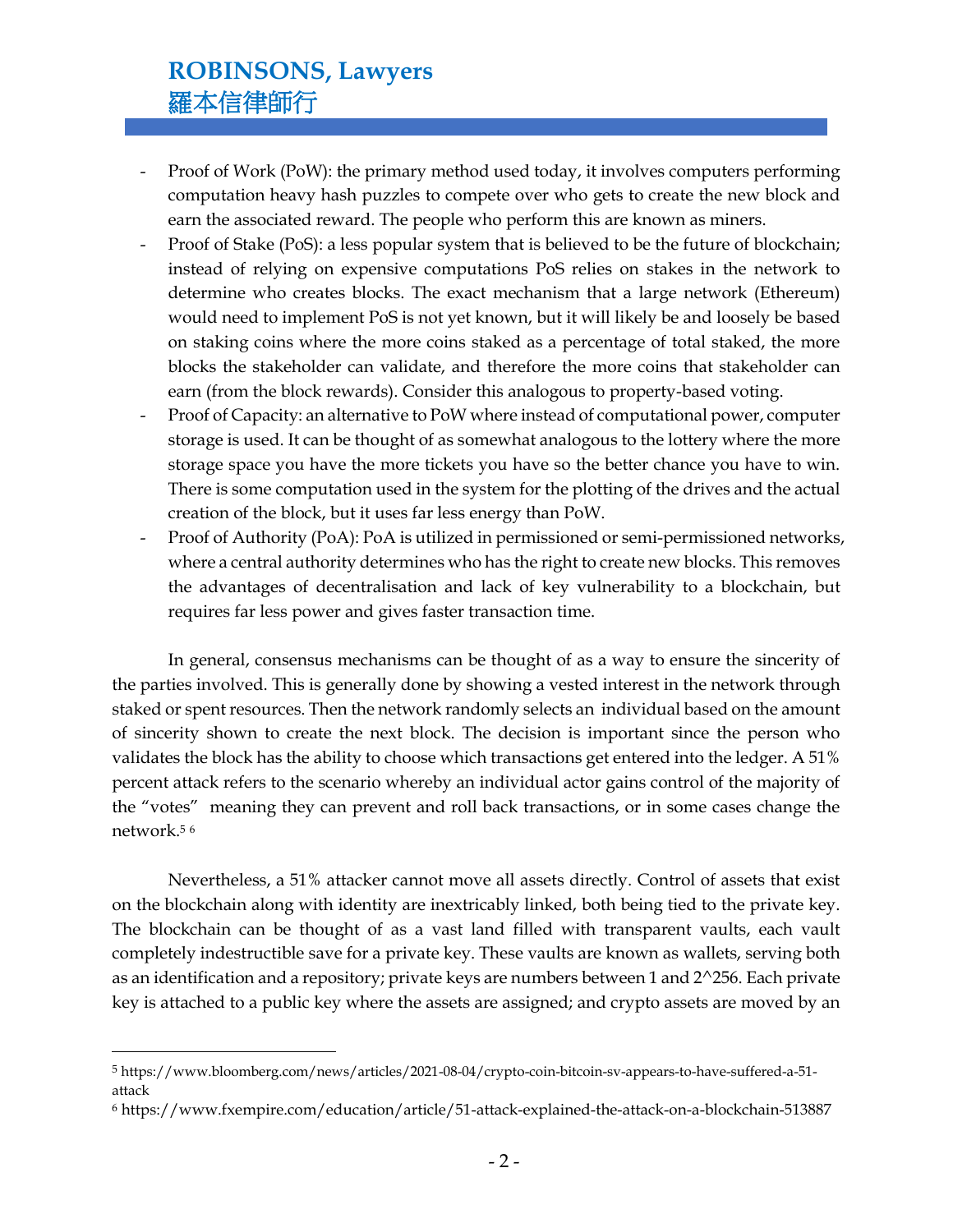## **ROBINSONS, Lawyers** 羅本信律師行

- Proof of Work (PoW): the primary method used today, it involves computers performing computation heavy hash puzzles to compete over who gets to create the new block and earn the associated reward. The people who perform this are known as miners.
- Proof of Stake (PoS): a less popular system that is believed to be the future of blockchain; instead of relying on expensive computations PoS relies on stakes in the network to determine who creates blocks. The exact mechanism that a large network (Ethereum) would need to implement PoS is not yet known, but it will likely be and loosely be based on staking coins where the more coins staked as a percentage of total staked, the more blocks the stakeholder can validate, and therefore the more coins that stakeholder can earn (from the block rewards). Consider this analogous to property-based voting.
- Proof of Capacity: an alternative to PoW where instead of computational power, computer storage is used. It can be thought of as somewhat analogous to the lottery where the more storage space you have the more tickets you have so the better chance you have to win. There is some computation used in the system for the plotting of the drives and the actual creation of the block, but it uses far less energy than PoW.
- Proof of Authority (PoA): PoA is utilized in permissioned or semi-permissioned networks, where a central authority determines who has the right to create new blocks. This removes the advantages of decentralisation and lack of key vulnerability to a blockchain, but requires far less power and gives faster transaction time.

In general, consensus mechanisms can be thought of as a way to ensure the sincerity of the parties involved. This is generally done by showing a vested interest in the network through staked or spent resources. Then the network randomly selects an individual based on the amount of sincerity shown to create the next block. The decision is important since the person who validates the block has the ability to choose which transactions get entered into the ledger. A 51% percent attack refers to the scenario whereby an individual actor gains control of the majority of the "votes" meaning they can prevent and roll back transactions, or in some cases change the network.<sup>5</sup> <sup>6</sup>

Nevertheless, a 51% attacker cannot move all assets directly. Control of assets that exist on the blockchain along with identity are inextricably linked, both being tied to the private key. The blockchain can be thought of as a vast land filled with transparent vaults, each vault completely indestructible save for a private key. These vaults are known as wallets, serving both as an identification and a repository; private keys are numbers between 1 and 2^256. Each private key is attached to a public key where the assets are assigned; and crypto assets are moved by an

<sup>5</sup> https://www.bloomberg.com/news/articles/2021-08-04/crypto-coin-bitcoin-sv-appears-to-have-suffered-a-51 attack

<sup>6</sup> https://www.fxempire.com/education/article/51-attack-explained-the-attack-on-a-blockchain-513887